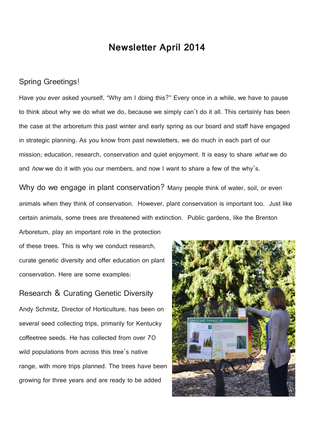# **Newsletter April 2014**

## Spring Greetings!

Have you ever asked yourself, "Why am I doing this?" Every once in a while, we have to pause to think about why we do what we do, because we simply can't do it all. This certainly has been the case at the arboretum this past winter and early spring as our board and staff have engaged in strategic planning. As you know from past newsletters, we do much in each part of our mission; education, research, conservation and quiet enjoyment. It is easy to share what we do and *how* we do it with you our members, and now I want to share a few of the why's.

Why do we engage in plant conservation? Many people think of water, soil, or even animals when they think of conservation. However, plant conservation is important too. Just like certain animals, some trees are threatened with extinction. Public gardens, like the Brenton Arboretum, play an important role in the protection

of these trees. This is why we conduct research, curate genetic diversity and offer education on plant conservation. Here are some examples:

Research & Curating Genetic Diversity Andy Schmitz, Director of Horticulture, has been on several seed collecting trips, primarily for Kentucky coffeetree seeds. He has collected from over 70 wild populations from across this tree's native range, with more trips planned. The trees have been growing for three years and are ready to be added

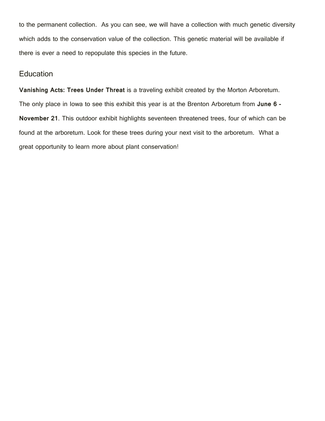to the permanent collection. As you can see, we will have a collection with much genetic diversity which adds to the conservation value of the collection. This genetic material will be available if there is ever a need to repopulate this species in the future.

## **Education**

**Vanishing Acts: Trees Under Threat** is a traveling exhibit created by the Morton Arboretum. The only place in Iowa to see this exhibit this year is at the Brenton Arboretum from **June 6 - November 21**. This outdoor exhibit highlights seventeen threatened trees, four of which can be found at the arboretum. Look for these trees during your next visit to the arboretum. What a great opportunity to learn more about plant conservation!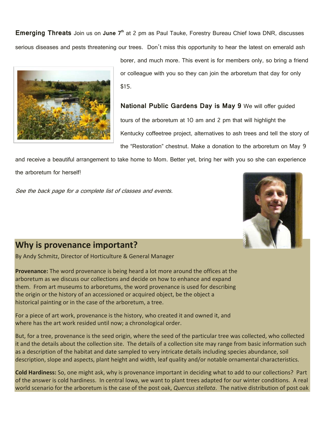**Emerging Threats** Join us on June 7<sup>th</sup> at 2 pm as Paul Tauke, Forestry Bureau Chief Iowa DNR, discusses serious diseases and pests threatening our trees. Don't miss this opportunity to hear the latest on emerald ash



borer, and much more. This event is for members only, so bring a friend or colleague with you so they can join the arboretum that day for only \$15.

**National Public Gardens Day is May 9** We will offer guided tours of the arboretum at 10 am and 2 pm that will highlight the Kentucky coffeetree project, alternatives to ash trees and tell the story of the "Restoration" chestnut. Make a donation to the arboretum on May 9

and receive a beautiful arrangement to take home to Mom. Better yet, bring her with you so she can experience the arboretum for herself!

See the back page for a complete list of classes and events.



# **Why is provenance important?**

By Andy Schmitz, Director of Horticulture & General Manager

**Provenance:** The word provenance is being heard a lot more around the offices at the arboretum as we discuss our collections and decide on how to enhance and expand them. From art museums to arboretums, the word provenance is used for describing the origin or the history of an accessioned or acquired object, be the object a historical painting or in the case of the arboretum, a tree.

For a piece of art work, provenance is the history, who created it and owned it, and where has the art work resided until now; a chronological order.

But, for a tree, provenance is the seed origin, where the seed of the particular tree was collected, who collected it and the details about the collection site. The details of a collection site may range from basic information such as a description of the habitat and date sampled to very intricate details including species abundance, soil description, slope and aspects, plant height and width, leaf quality and/or notable ornamental characteristics.

**Cold Hardiness:** So, one might ask, why is provenance important in deciding what to add to our collections? Part of the answer is cold hardiness. In central Iowa, we want to plant trees adapted for our winter conditions. A real world scenario for the arboretum is the case of the post oak, *Quercus stellata*. The native distribution of post oak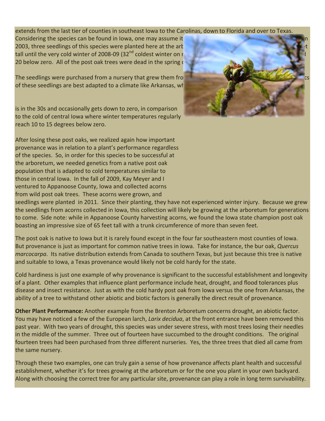#### extends from the last tier of counties in southeast Iowa to the Carolinas, down to Florida and over to Texas.

Considering the species can be found in Iowa, one may assume it 2003, three seedlings of this species were planted here at the art tall until the very cold winter of 2008-09 (32<sup>nd</sup> coldest winter on  $\epsilon$ 20 below zero. All of the post oak trees were dead in the spring

The seedlings were purchased from a nursery that grew them from of these seedlings are best adapted to a climate like Arkansas, where the average minimum winter and winter te

is in the 30s and occasionally gets down to zero, in comparison to the cold of central Iowa where winter temperatures regularly reach 10 to 15 degrees below zero.

After losing these post oaks, we realized again how important provenance was in relation to a plant's performance regardless of the species. So, in order for this species to be successful at the arboretum, we needed genetics from a native post oak population that is adapted to cold temperatures similar to those in central Iowa. In the fall of 2009, Kay Meyer and I ventured to Appanoose County, Iowa and collected acorns from wild post oak trees. These acorns were grown, and



seedlings were planted in 2011. Since their planting, they have not experienced winter injury. Because we grew the seedlings from acorns collected in Iowa, this collection will likely be growing at the arboretum for generations to come. Side note: while in Appanoose County harvesting acorns, we found the Iowa state champion post oak boasting an impressive size of 65 feet tall with a trunk circumference of more than seven feet.

The post oak is native to Iowa but it is rarely found except in the four far southeastern most counties of Iowa. But provenance is just as important for common native trees in Iowa. Take for instance, the bur oak, *Quercus marcocarpa*. Its native distribution extends from Canada to southern Texas, but just because this tree is native and suitable to Iowa, a Texas provenance would likely not be cold hardy for the state.

Cold hardiness is just one example of why provenance is significant to the successful establishment and longevity of a plant. Other examples that influence plant performance include heat, drought, and flood tolerances plus disease and insect resistance. Just as with the cold hardy post oak from Iowa versus the one from Arkansas, the ability of a tree to withstand other abiotic and biotic factors is generally the direct result of provenance.

**Other Plant Performance:** Another example from the Brenton Arboretum concerns drought, an abiotic factor. You may have noticed a few of the European larch, *Larix decidua*, at the front entrance have been removed this past year. With two years of drought, this species was under severe stress, with most trees losing their needles in the middle of the summer. Three out of fourteen have succumbed to the drought conditions. The original fourteen trees had been purchased from three different nurseries. Yes, the three trees that died all came from the same nursery.

Through these two examples, one can truly gain a sense of how provenance affects plant health and successful establishment, whether it's for trees growing at the arboretum or for the one you plant in your own backyard. Along with choosing the correct tree for any particular site, provenance can play a role in long term survivability.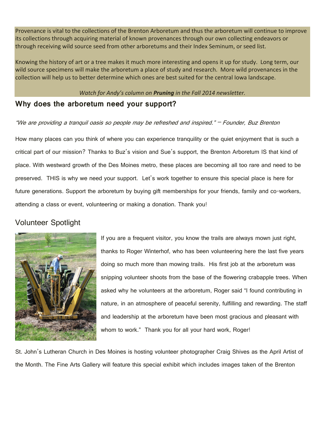Provenance is vital to the collections of the Brenton Arboretum and thus the arboretum will continue to improve its collections through acquiring material of known provenances through our own collecting endeavors or through receiving wild source seed from other arboretums and their Index Seminum, or seed list.

Knowing the history of art or a tree makes it much more interesting and opens it up for study. Long term, our wild source specimens will make the arboretum a place of study and research. More wild provenances in the collection will help us to better determine which ones are best suited for the central Iowa landscape.

## *Watch for Andy's column on Pruning in the Fall 2014 newsletter.*

# **Why does the arboretum need your support?**

"We are providing a tranquil oasis so people may be refreshed and inspired." – Founder, Buz Brenton

How many places can you think of where you can experience tranquility or the quiet enjoyment that is such a critical part of our mission? Thanks to Buz's vision and Sue's support, the Brenton Arboretum IS that kind of place. With westward growth of the Des Moines metro, these places are becoming all too rare and need to be preserved. THIS is why we need your support. Let's work together to ensure this special place is here for future generations. Support the arboretum by buying gift memberships for your friends, family and co-workers, attending a class or event, volunteering or making a donation. Thank you!

# Volunteer Spotlight



If you are a frequent visitor, you know the trails are always mown just right, thanks to Roger Winterhof, who has been volunteering here the last five years doing so much more than mowing trails. His first job at the arboretum was snipping volunteer shoots from the base of the flowering crabapple trees. When asked why he volunteers at the arboretum, Roger said "I found contributing in nature, in an atmosphere of peaceful serenity, fulfilling and rewarding. The staff and leadership at the arboretum have been most gracious and pleasant with whom to work." Thank you for all your hard work, Roger!

St. John's Lutheran Church in Des Moines is hosting volunteer photographer Craig Shives as the April Artist of the Month. The Fine Arts Gallery will feature this special exhibit which includes images taken of the Brenton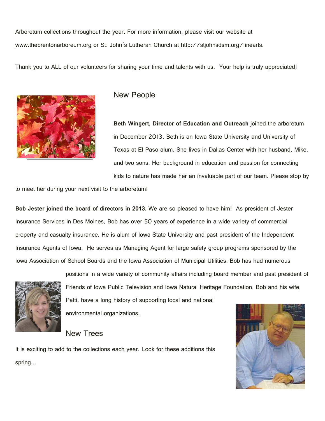Arboretum collections throughout the year. For more information, please visit our website at www.thebrentonarboreum.org or St. John's Lutheran Church at http://stjohnsdsm.org/finearts.

Thank you to ALL of our volunteers for sharing your time and talents with us. Your help is truly appreciated!



## New People

**Beth Wingert, Director of Education and Outreach** joined the arboretum in December 2013. Beth is an Iowa State University and University of Texas at El Paso alum. She lives in Dallas Center with her husband, Mike, and two sons. Her background in education and passion for connecting kids to nature has made her an invaluable part of our team. Please stop by

to meet her during your next visit to the arboretum!

**Bob Jester joined the board of directors in 2013.** We are so pleased to have him! As president of Jester Insurance Services in Des Moines, Bob has over 50 years of experience in a wide variety of commercial property and casualty insurance. He is alum of Iowa State University and past president of the Independent Insurance Agents of Iowa. He serves as Managing Agent for large safety group programs sponsored by the Iowa Association of School Boards and the Iowa Association of Municipal Utilities. Bob has had numerous



positions in a wide variety of community affairs including board member and past president of Friends of Iowa Public Television and Iowa Natural Heritage Foundation. Bob and his wife, Patti, have a long history of supporting local and national

environmental organizations.

New Trees

It is exciting to add to the collections each year. Look for these additions this spring…

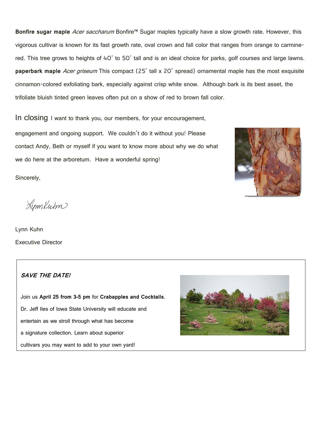Bonfire sugar maple *Acer saccharum* Bonfire<sup>™</sup> Sugar maples typically have a slow growth rate. However, this vigorous cultivar is known for its fast growth rate, oval crown and fall color that ranges from orange to carminered. This tree grows to heights of 40' to 50' tall and is an ideal choice for parks, golf courses and large lawns. **paperbark maple** Acer griseum This compact (25' tall x 20' spread) ornamental maple has the most exquisite cinnamon-colored exfoliating bark, especially against crisp white snow. Although bark is its best asset, the trifoliate bluish tinted green leaves often put on a show of red to brown fall color.

In closing I want to thank you, our members, for your encouragement,

engagement and ongoing support. We couldn't do it without you! Please contact Andy, Beth or myself if you want to know more about why we do what we do here at the arboretum. Have a wonderful spring!

Sincerely,

LynnKum

Lynn Kuhn Executive Director

## **SAVE THE DATE!**

Join us **April 25 from 3-5 pm** for **Crabapples and Cocktails**. Dr. Jeff Iles of Iowa State University will educate and entertain as we stroll through what has become a signature collection. Learn about superior cultivars you may want to add to your own yard!



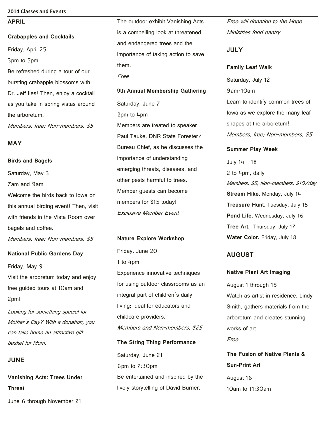#### **2014 Classes and Events**

#### **APRIL**

**Crabapples and Cocktails**  Friday, April 25 3pm to 5pm Be refreshed during a tour of our bursting crabapple blossoms with Dr. Jeff Iles! Then, enjoy a cocktail as you take in spring vistas around the arboretum.

Members, free; Non-members, \$5

#### **MAY**

**Birds and Bagels** 

Saturday, May 3 7am and 9am Welcome the birds back to Iowa on this annual birding event! Then, visit with friends in the Vista Room over bagels and coffee.

Members, free; Non-members, \$5

#### **National Public Gardens Day**

Friday, May 9 Visit the arboretum today and enjoy free guided tours at 10am and 2pm!

Looking for something special for Mother's Day? With a donation, you can take home an attractive gift basket for Mom.

## **JUNE**

**Vanishing Acts: Trees Under Threat** 

June 6 through November 21

The outdoor exhibit Vanishing Acts is a compelling look at threatened and endangered trees and the importance of taking action to save them. Free

**9th Annual Membership Gathering**  Saturday, June 7 2pm to 4pm Members are treated to speaker Paul Tauke, DNR State Forester/ Bureau Chief, as he discusses the importance of understanding emerging threats, diseases, and other pests harmful to trees. Member guests can become members for \$15 today! Exclusive Member Event

**Nature Explore Workshop** 

Friday, June 20 1 to 4pm Experience innovative techniques for using outdoor classrooms as an integral part of children's daily living; ideal for educators and childcare providers. Members and Non-members, \$25

Saturday, June 21 6pm to 7:30pm Be entertained and inspired by the lively storytelling of David Burrier.

**The String Thing Performance** 

Free will donation to the Hope Ministries food pantry.

#### **JULY**

**Family Leaf Walk**  Saturday, July 12 9am-10am Learn to identify common trees of Iowa as we explore the many leaf shapes at the arboretum! Members, free; Non-members, \$5

#### **Summer Play Week**

July 14 - 18 2 to 4pm, daily Members, \$5; Non-members, \$10/day **Stream Hike.** Monday, July 14 **Treasure Hunt.** Tuesday, July 15 **Pond Life.** Wednesday, July 16 **Tree Art.** Thursday, July 17 **Water Color.** Friday, July 18

## **AUGUST**

#### **Native Plant Art Imaging**

August 1 through 15 Watch as artist in residence, Lindy Smith, gathers materials from the arboretum and creates stunning works of art. Free

**The Fusion of Native Plants & Sun-Print Art**  August 16 10am to 11:30am